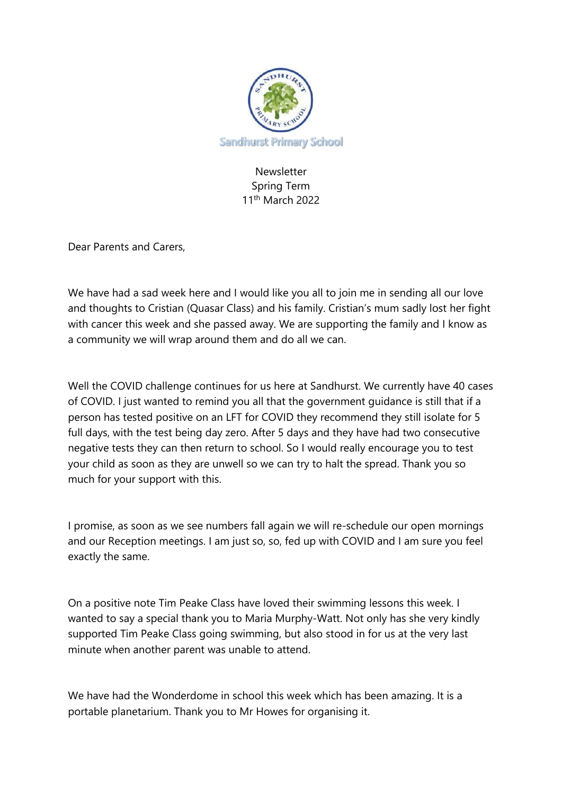

## Newsletter Spring Term 11th March 2022

Dear Parents and Carers,

We have had a sad week here and I would like you all to join me in sending all our love and thoughts to Cristian (Quasar Class) and his family. Cristian's mum sadly lost her fight with cancer this week and she passed away. We are supporting the family and I know as a community we will wrap around them and do all we can.

Well the COVID challenge continues for us here at Sandhurst. We currently have 40 cases of COVID. I just wanted to remind you all that the government guidance is still that if a person has tested positive on an LFT for COVID they recommend they still isolate for 5 full days, with the test being day zero. After 5 days and they have had two consecutive negative tests they can then return to school. So I would really encourage you to test your child as soon as they are unwell so we can try to halt the spread. Thank you so much for your support with this.

I promise, as soon as we see numbers fall again we will re-schedule our open mornings and our Reception meetings. I am just so, so, fed up with COVID and I am sure you feel exactly the same.

On a positive note Tim Peake Class have loved their swimming lessons this week. I wanted to say a special thank you to Maria Murphy-Watt. Not only has she very kindly supported Tim Peake Class going swimming, but also stood in for us at the very last minute when another parent was unable to attend.

We have had the Wonderdome in school this week which has been amazing. It is a portable planetarium. Thank you to Mr Howes for organising it.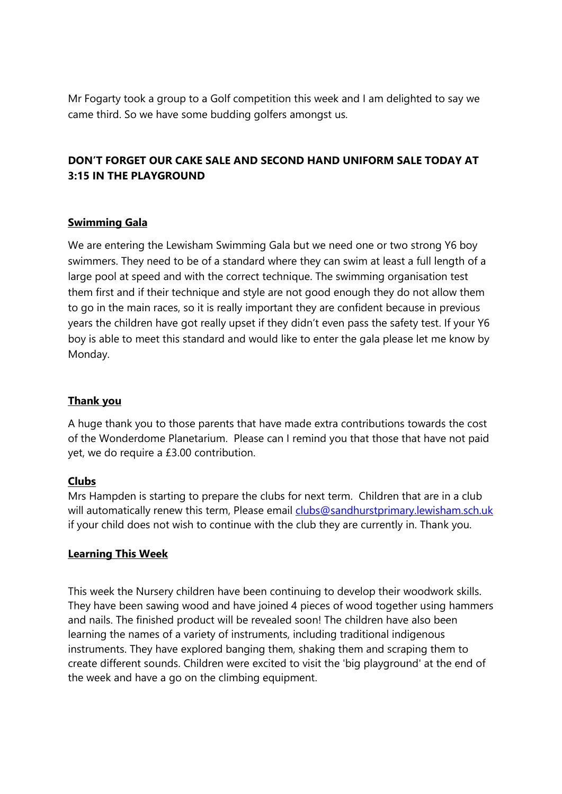Mr Fogarty took a group to a Golf competition this week and I am delighted to say we came third. So we have some budding golfers amongst us.

# **DON'T FORGET OUR CAKE SALE AND SECOND HAND UNIFORM SALE TODAY AT 3:15 IN THE PLAYGROUND**

## **Swimming Gala**

We are entering the Lewisham Swimming Gala but we need one or two strong Y6 boy swimmers. They need to be of a standard where they can swim at least a full length of a large pool at speed and with the correct technique. The swimming organisation test them first and if their technique and style are not good enough they do not allow them to go in the main races, so it is really important they are confident because in previous years the children have got really upset if they didn't even pass the safety test. If your Y6 boy is able to meet this standard and would like to enter the gala please let me know by Monday.

## **Thank you**

A huge thank you to those parents that have made extra contributions towards the cost of the Wonderdome Planetarium. Please can I remind you that those that have not paid yet, we do require a £3.00 contribution.

### **Clubs**

Mrs Hampden is starting to prepare the clubs for next term. Children that are in a club will automatically renew this term, Please email [clubs@sandhurstprimary.lewisham.sch.uk](mailto:clubs@sandhurstprimary.lewisham.sch.uk) if your child does not wish to continue with the club they are currently in. Thank you.

### **Learning This Week**

This week the Nursery children have been continuing to develop their woodwork skills. They have been sawing wood and have joined 4 pieces of wood together using hammers and nails. The finished product will be revealed soon! The children have also been learning the names of a variety of instruments, including traditional indigenous instruments. They have explored banging them, shaking them and scraping them to create different sounds. Children were excited to visit the 'big playground' at the end of the week and have a go on the climbing equipment.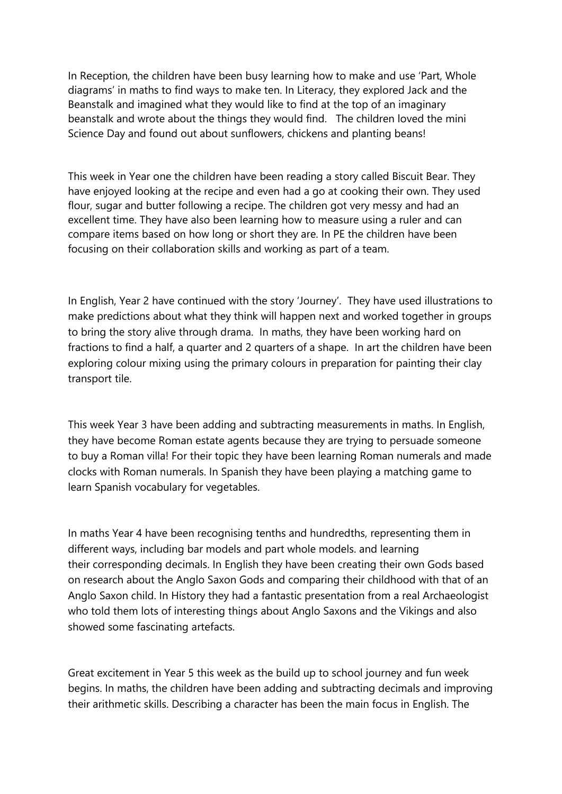In Reception, the children have been busy learning how to make and use 'Part, Whole diagrams' in maths to find ways to make ten. In Literacy, they explored Jack and the Beanstalk and imagined what they would like to find at the top of an imaginary beanstalk and wrote about the things they would find. The children loved the mini Science Day and found out about sunflowers, chickens and planting beans!

This week in Year one the children have been reading a story called Biscuit Bear. They have enjoyed looking at the recipe and even had a go at cooking their own. They used flour, sugar and butter following a recipe. The children got very messy and had an excellent time. They have also been learning how to measure using a ruler and can compare items based on how long or short they are. In PE the children have been focusing on their collaboration skills and working as part of a team.

In English, Year 2 have continued with the story 'Journey'. They have used illustrations to make predictions about what they think will happen next and worked together in groups to bring the story alive through drama. In maths, they have been working hard on fractions to find a half, a quarter and 2 quarters of a shape. In art the children have been exploring colour mixing using the primary colours in preparation for painting their clay transport tile.

This week Year 3 have been adding and subtracting measurements in maths. In English, they have become Roman estate agents because they are trying to persuade someone to buy a Roman villa! For their topic they have been learning Roman numerals and made clocks with Roman numerals. In Spanish they have been playing a matching game to learn Spanish vocabulary for vegetables.

In maths Year 4 have been recognising tenths and hundredths, representing them in different ways, including bar models and part whole models. and learning their corresponding decimals. In English they have been creating their own Gods based on research about the Anglo Saxon Gods and comparing their childhood with that of an Anglo Saxon child. In History they had a fantastic presentation from a real Archaeologist who told them lots of interesting things about Anglo Saxons and the Vikings and also showed some fascinating artefacts.

Great excitement in Year 5 this week as the build up to school journey and fun week begins. In maths, the children have been adding and subtracting decimals and improving their arithmetic skills. Describing a character has been the main focus in English. The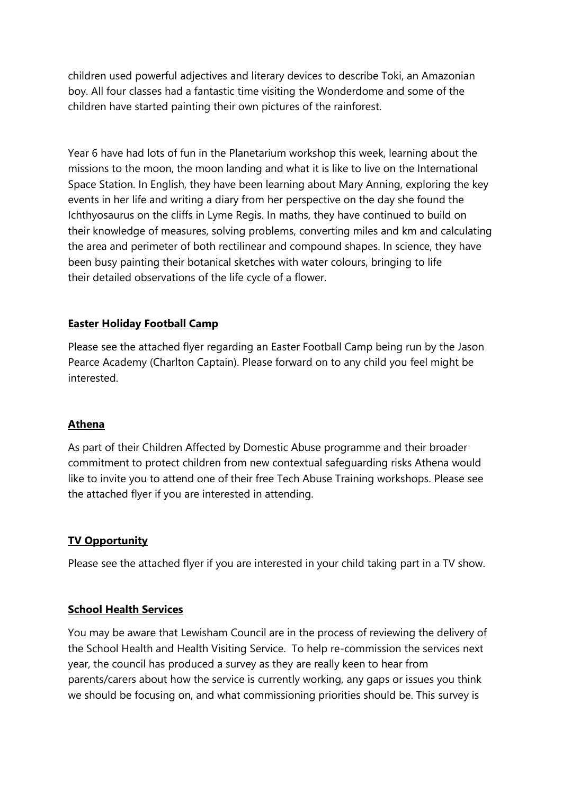children used powerful adjectives and literary devices to describe Toki, an Amazonian boy. All four classes had a fantastic time visiting the Wonderdome and some of the children have started painting their own pictures of the rainforest.

Year 6 have had lots of fun in the Planetarium workshop this week, learning about the missions to the moon, the moon landing and what it is like to live on the International Space Station. In English, they have been learning about Mary Anning, exploring the key events in her life and writing a diary from her perspective on the day she found the Ichthyosaurus on the cliffs in Lyme Regis. In maths, they have continued to build on their knowledge of measures, solving problems, converting miles and km and calculating the area and perimeter of both rectilinear and compound shapes. In science, they have been busy painting their botanical sketches with water colours, bringing to life their detailed observations of the life cycle of a flower.

## **Easter Holiday Football Camp**

Please see the attached flyer regarding an Easter Football Camp being run by the Jason Pearce Academy (Charlton Captain). Please forward on to any child you feel might be interested.

### **Athena**

As part of their Children Affected by Domestic Abuse programme and their broader commitment to protect children from new contextual safeguarding risks Athena would like to invite you to attend one of their free Tech Abuse Training workshops. Please see the attached flyer if you are interested in attending.

### **TV Opportunity**

Please see the attached flyer if you are interested in your child taking part in a TV show.

#### **School Health Services**

You may be aware that Lewisham Council are in the process of reviewing the delivery of the School Health and Health Visiting Service. To help re-commission the services next year, the council has produced a survey as they are really keen to hear from parents/carers about how the service is currently working, any gaps or issues you think we should be focusing on, and what commissioning priorities should be. This survey is